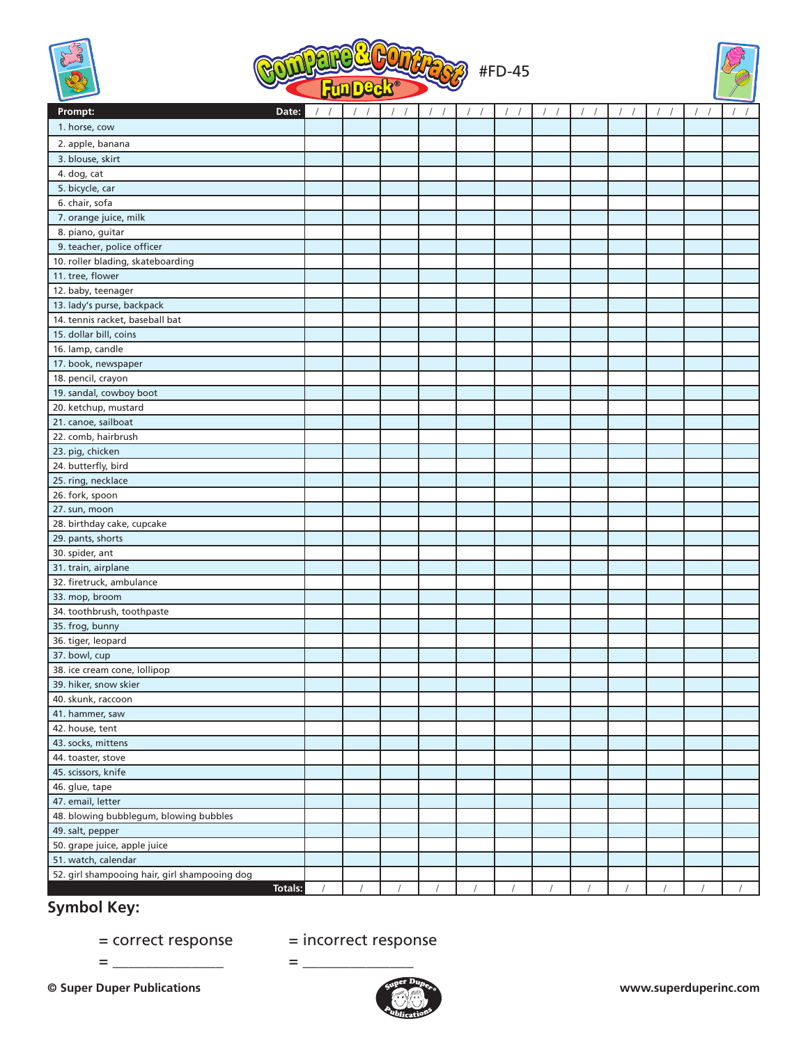





| Prompt:<br>Date:                              |            | $\sqrt{2}$<br>$\sqrt{2}$ | $\sqrt{ }$<br>$\sqrt{2}$ | $\sqrt{ }$<br>$\sqrt{2}$ | $\sqrt{ }$<br>$\sqrt{2}$ |            |            |             | 1          | $\prime$ | $\overline{1}$ |  |
|-----------------------------------------------|------------|--------------------------|--------------------------|--------------------------|--------------------------|------------|------------|-------------|------------|----------|----------------|--|
| 1. horse, cow                                 |            |                          |                          |                          |                          |            |            |             |            |          |                |  |
| 2. apple, banana                              |            |                          |                          |                          |                          |            |            |             |            |          |                |  |
| 3. blouse, skirt                              |            |                          |                          |                          |                          |            |            |             |            |          |                |  |
| 4. dog, cat                                   |            |                          |                          |                          |                          |            |            |             |            |          |                |  |
| 5. bicycle, car                               |            |                          |                          |                          |                          |            |            |             |            |          |                |  |
| 6. chair, sofa                                |            |                          |                          |                          |                          |            |            |             |            |          |                |  |
| 7. orange juice, milk                         |            |                          |                          |                          |                          |            |            |             |            |          |                |  |
| 8. piano, guitar                              |            |                          |                          |                          |                          |            |            |             |            |          |                |  |
| 9. teacher, police officer                    |            |                          |                          |                          |                          |            |            |             |            |          |                |  |
| 10. roller blading, skateboarding             |            |                          |                          |                          |                          |            |            |             |            |          |                |  |
| 11. tree, flower                              |            |                          |                          |                          |                          |            |            |             |            |          |                |  |
| 12. baby, teenager                            |            |                          |                          |                          |                          |            |            |             |            |          |                |  |
| 13. lady's purse, backpack                    |            |                          |                          |                          |                          |            |            |             |            |          |                |  |
| 14. tennis racket, baseball bat               |            |                          |                          |                          |                          |            |            |             |            |          |                |  |
| 15. dollar bill, coins                        |            |                          |                          |                          |                          |            |            |             |            |          |                |  |
| 16. lamp, candle                              |            |                          |                          |                          |                          |            |            |             |            |          |                |  |
| 17. book, newspaper                           |            |                          |                          |                          |                          |            |            |             |            |          |                |  |
| 18. pencil, crayon                            |            |                          |                          |                          |                          |            |            |             |            |          |                |  |
| 19. sandal, cowboy boot                       |            |                          |                          |                          |                          |            |            |             |            |          |                |  |
| 20. ketchup, mustard                          |            |                          |                          |                          |                          |            |            |             |            |          |                |  |
| 21. canoe, sailboat                           |            |                          |                          |                          |                          |            |            |             |            |          |                |  |
| 22. comb, hairbrush                           |            |                          |                          |                          |                          |            |            |             |            |          |                |  |
| 23. pig, chicken                              |            |                          |                          |                          |                          |            |            |             |            |          |                |  |
| 24. butterfly, bird                           |            |                          |                          |                          |                          |            |            |             |            |          |                |  |
| 25. ring, necklace                            |            |                          |                          |                          |                          |            |            |             |            |          |                |  |
| 26. fork, spoon                               |            |                          |                          |                          |                          |            |            |             |            |          |                |  |
| 27. sun, moon                                 |            |                          |                          |                          |                          |            |            |             |            |          |                |  |
| 28. birthday cake, cupcake                    |            |                          |                          |                          |                          |            |            |             |            |          |                |  |
| 29. pants, shorts                             |            |                          |                          |                          |                          |            |            |             |            |          |                |  |
| 30. spider, ant                               |            |                          |                          |                          |                          |            |            |             |            |          |                |  |
| 31. train, airplane                           |            |                          |                          |                          |                          |            |            |             |            |          |                |  |
| 32. firetruck, ambulance                      |            |                          |                          |                          |                          |            |            |             |            |          |                |  |
| 33. mop, broom                                |            |                          |                          |                          |                          |            |            |             |            |          |                |  |
| 34. toothbrush, toothpaste                    |            |                          |                          |                          |                          |            |            |             |            |          |                |  |
| 35. frog, bunny                               |            |                          |                          |                          |                          |            |            |             |            |          |                |  |
| 36. tiger, leopard                            |            |                          |                          |                          |                          |            |            |             |            |          |                |  |
| 37. bowl, cup                                 |            |                          |                          |                          |                          |            |            |             |            |          |                |  |
| 38. ice cream cone, lollipop                  |            |                          |                          |                          |                          |            |            |             |            |          |                |  |
| 39. hiker, snow skier                         |            |                          |                          |                          |                          |            |            |             |            |          |                |  |
| 40. skunk, raccoon                            |            |                          |                          |                          |                          |            |            |             |            |          |                |  |
| 41. hammer, saw                               |            |                          |                          |                          |                          |            |            |             |            |          |                |  |
| 42. house, tent                               |            |                          |                          |                          |                          |            |            |             |            |          |                |  |
| 43. socks, mittens                            |            |                          |                          |                          |                          |            |            |             |            |          |                |  |
| 44. toaster, stove                            |            |                          |                          |                          |                          |            |            |             |            |          |                |  |
| 45. scissors, knife                           |            |                          |                          |                          |                          |            |            |             |            |          |                |  |
| 46. glue, tape                                |            |                          |                          |                          |                          |            |            |             |            |          |                |  |
| 47. email, letter                             |            |                          |                          |                          |                          |            |            |             |            |          |                |  |
| 48. blowing bubblegum, blowing bubbles        |            |                          |                          |                          |                          |            |            |             |            |          |                |  |
| 49. salt, pepper                              |            |                          |                          |                          |                          |            |            |             |            |          |                |  |
| 50. grape juice, apple juice                  |            |                          |                          |                          |                          |            |            |             |            |          |                |  |
| 51. watch, calendar                           |            |                          |                          |                          |                          |            |            |             |            |          |                |  |
| 52. girl shampooing hair, girl shampooing dog |            |                          |                          |                          |                          |            |            |             |            |          |                |  |
| Totals:                                       | $\sqrt{ }$ | $\sqrt{ }$               | $\hat{I}$                | $\sqrt{ }$               | $\sqrt{ }$               | $\sqrt{ }$ | $\sqrt{ }$ | $\tilde{I}$ | $\sqrt{ }$ |          |                |  |

## **Symbol Key:**

= \_\_\_\_\_\_\_\_\_\_\_\_\_\_ = \_\_\_\_\_\_\_\_\_\_\_\_\_\_

## = correct response = incorrect response